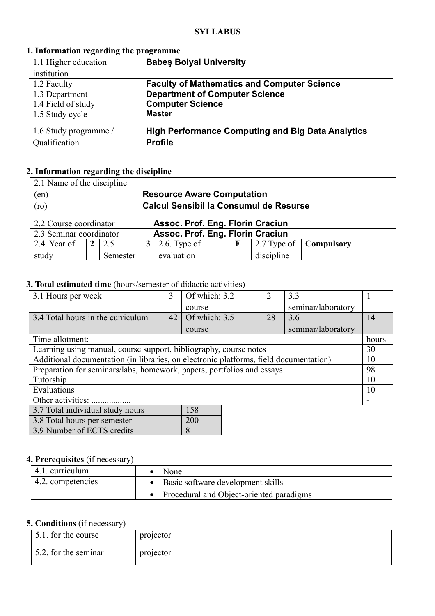#### **SYLLABUS**

### **1. Information regarding the programme**

| 1.1 Higher education  | <b>Babes Bolyai University</b>                           |
|-----------------------|----------------------------------------------------------|
| institution           |                                                          |
| 1.2 Faculty           | <b>Faculty of Mathematics and Computer Science</b>       |
| 1.3 Department        | <b>Department of Computer Science</b>                    |
| 1.4 Field of study    | <b>Computer Science</b>                                  |
| 1.5 Study cycle       | <b>Master</b>                                            |
|                       |                                                          |
| 1.6 Study programme / | <b>High Performance Computing and Big Data Analytics</b> |
| Qualification         | <b>Profile</b>                                           |

## **2. Information regarding the discipline**

| 2.1 Name of the discipline                                  |  |          |                                               |                 |   |             |                   |
|-------------------------------------------------------------|--|----------|-----------------------------------------------|-----------------|---|-------------|-------------------|
| (en)                                                        |  |          | <b>Resource Aware Computation</b>             |                 |   |             |                   |
| (ro)                                                        |  |          | <b>Calcul Sensibil la Consumul de Resurse</b> |                 |   |             |                   |
|                                                             |  |          |                                               |                 |   |             |                   |
| Assoc. Prof. Eng. Florin Craciun<br>2.2 Course coordinator  |  |          |                                               |                 |   |             |                   |
| Assoc. Prof. Eng. Florin Craciun<br>2.3 Seminar coordinator |  |          |                                               |                 |   |             |                   |
| 2.4. Year of                                                |  | 2.5      | 3                                             | $2.6$ . Type of | E | 2.7 Type of | <b>Compulsory</b> |
| study                                                       |  | Semester |                                               | evaluation      |   | discipline  |                   |

# **3. Total estimated time** (hours/semester of didactic activities)

| 3.1 Hours per week                                                                    | 3  | Of which: 3.2 | 2  | 3.3                |       |
|---------------------------------------------------------------------------------------|----|---------------|----|--------------------|-------|
|                                                                                       |    | course        |    | seminar/laboratory |       |
| 3.4 Total hours in the curriculum                                                     | 42 | Of which: 3.5 | 28 | 3.6                | 14    |
|                                                                                       |    | course        |    | seminar/laboratory |       |
| Time allotment:                                                                       |    |               |    |                    | hours |
| Learning using manual, course support, bibliography, course notes                     |    |               |    |                    | 30    |
| Additional documentation (in libraries, on electronic platforms, field documentation) |    |               |    |                    | 10    |
| Preparation for seminars/labs, homework, papers, portfolios and essays                |    |               |    |                    | 98    |
| Tutorship                                                                             |    |               |    |                    | 10    |
| Evaluations                                                                           |    |               |    |                    | 10    |
| Other activities:                                                                     |    |               |    |                    |       |
| 3.7 Total individual study hours                                                      |    | 158           |    |                    |       |

| 3.7 Total individual study hours | 158 |
|----------------------------------|-----|
| 3.8 Total hours per semester     | 200 |
| 3.9 Number of ECTS credits       | 8   |

### **4. Prerequisites** (if necessary)

| 4.1. curriculum   | None                                       |
|-------------------|--------------------------------------------|
| 4.2. competencies | • Basic software development skills        |
|                   | • Procedural and Object-oriented paradigms |

# **5. Conditions** (if necessary)

| 5.1 for the course   | projector |
|----------------------|-----------|
| 5.2. for the seminar | projector |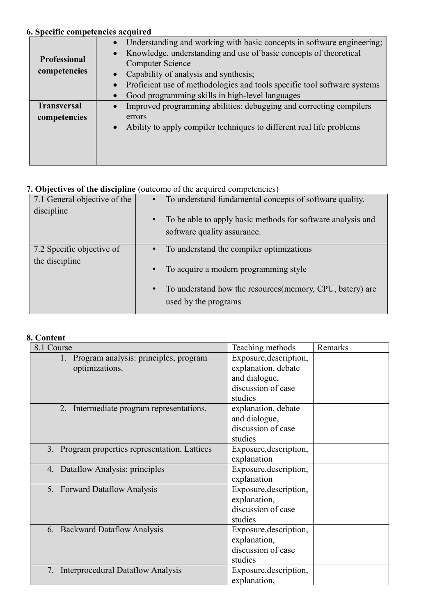# **6. Specific competencies acquired**

| <b>Professional</b><br>competencies | Understanding and working with basic concepts in software engineering;<br>Knowledge, understanding and use of basic concepts of theoretical<br><b>Computer Science</b><br>Capability of analysis and synthesis;<br>Proficient use of methodologies and tools specific tool software systems<br>Good programming skills in high-level languages |
|-------------------------------------|------------------------------------------------------------------------------------------------------------------------------------------------------------------------------------------------------------------------------------------------------------------------------------------------------------------------------------------------|
| <b>Transversal</b><br>competencies  | Improved programming abilities: debugging and correcting compilers<br>errors<br>Ability to apply compiler techniques to different real life problems                                                                                                                                                                                           |

## **7. Objectives of the discipline** (outcome of the acquired competencies)

| 7.1 General objective of the | To understand fundamental concepts of software quality.                  |
|------------------------------|--------------------------------------------------------------------------|
|                              |                                                                          |
| discipline                   |                                                                          |
|                              | To be able to apply basic methods for software analysis and<br>$\bullet$ |
|                              |                                                                          |
|                              | software quality assurance.                                              |
|                              |                                                                          |
| 7.2 Specific objective of    | To understand the compiler optimizations                                 |
|                              |                                                                          |
| the discipline               |                                                                          |
|                              | To acquire a modern programming style<br>$\bullet$                       |
|                              |                                                                          |
|                              |                                                                          |
|                              | To understand how the resources (memory, CPU, batery) are<br>$\bullet$   |
|                              | used by the programs                                                     |
|                              |                                                                          |
|                              |                                                                          |

### **8. Content**

| 8.1 Course                                     | Teaching methods       | Remarks |
|------------------------------------------------|------------------------|---------|
| 1. Program analysis: principles, program       | Exposure, description, |         |
| optimizations.                                 | explanation, debate    |         |
|                                                | and dialogue,          |         |
|                                                | discussion of case     |         |
|                                                | studies                |         |
| 2. Intermediate program representations.       | explanation, debate    |         |
|                                                | and dialogue,          |         |
|                                                | discussion of case     |         |
|                                                | studies                |         |
| 3. Program properties representation. Lattices | Exposure, description, |         |
|                                                | explanation            |         |
| 4. Dataflow Analysis: principles               | Exposure, description, |         |
|                                                | explanation            |         |
| 5. Forward Dataflow Analysis                   | Exposure, description, |         |
|                                                | explanation,           |         |
|                                                | discussion of case     |         |
|                                                | studies                |         |
| 6. Backward Dataflow Analysis                  | Exposure, description, |         |
|                                                | explanation,           |         |
|                                                | discussion of case     |         |
|                                                | studies                |         |
| <b>Interprocedural Dataflow Analysis</b><br>7. | Exposure, description, |         |
|                                                | explanation,           |         |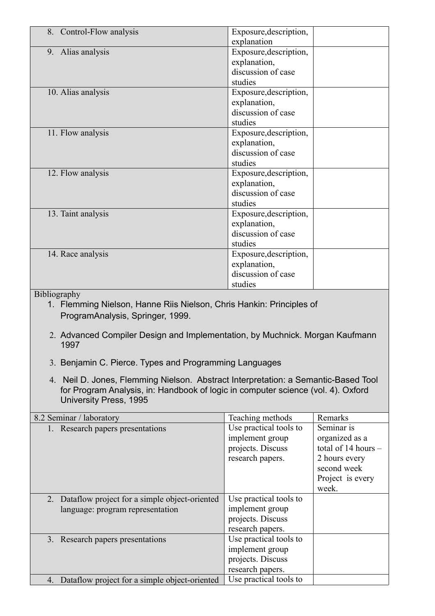| 8. Control-Flow analysis                                             | Exposure, description, |  |  |
|----------------------------------------------------------------------|------------------------|--|--|
|                                                                      | explanation            |  |  |
| 9. Alias analysis                                                    | Exposure, description, |  |  |
|                                                                      | explanation,           |  |  |
|                                                                      | discussion of case     |  |  |
|                                                                      | studies                |  |  |
| 10. Alias analysis                                                   | Exposure, description, |  |  |
|                                                                      | explanation,           |  |  |
|                                                                      | discussion of case     |  |  |
|                                                                      | studies                |  |  |
| 11. Flow analysis                                                    | Exposure, description, |  |  |
|                                                                      | explanation,           |  |  |
|                                                                      | discussion of case     |  |  |
|                                                                      | studies                |  |  |
| 12. Flow analysis                                                    | Exposure, description, |  |  |
|                                                                      | explanation,           |  |  |
|                                                                      | discussion of case     |  |  |
|                                                                      | studies                |  |  |
| 13. Taint analysis                                                   | Exposure, description, |  |  |
|                                                                      | explanation,           |  |  |
|                                                                      | discussion of case     |  |  |
|                                                                      | studies                |  |  |
| 14. Race analysis                                                    | Exposure, description, |  |  |
|                                                                      | explanation,           |  |  |
|                                                                      | discussion of case     |  |  |
|                                                                      | studies                |  |  |
| Bibliography                                                         |                        |  |  |
| 1. Flemming Nielson, Hanne Riis Nielson, Chris Hankin: Principles of |                        |  |  |
| ProgramAnalysis, Springer, 1999.                                     |                        |  |  |
|                                                                      |                        |  |  |

- 2. Advanced Compiler Design and Implementation, by Muchnick. Morgan Kaufmann 1997
- 3. Benjamin C. Pierce. Types and Programming Languages
- 4. Neil D. Jones, Flemming Nielson. Abstract Interpretation: a Semantic-Based Tool for Program Analysis, in: Handbook of logic in computer science (vol. 4). Oxford University Press, 1995

| 8.2 Seminar / laboratory                            | Teaching methods       | Remarks               |
|-----------------------------------------------------|------------------------|-----------------------|
| 1. Research papers presentations                    | Use practical tools to | Seminar is            |
|                                                     | implement group        | organized as a        |
|                                                     | projects. Discuss      | total of 14 hours $-$ |
|                                                     | research papers.       | 2 hours every         |
|                                                     |                        | second week           |
|                                                     |                        | Project is every      |
|                                                     |                        | week.                 |
| 2. Dataflow project for a simple object-oriented    | Use practical tools to |                       |
| language: program representation                    | implement group        |                       |
|                                                     | projects. Discuss      |                       |
|                                                     | research papers.       |                       |
| 3. Research papers presentations                    | Use practical tools to |                       |
|                                                     | implement group        |                       |
|                                                     | projects. Discuss      |                       |
|                                                     | research papers.       |                       |
| Dataflow project for a simple object-oriented<br>4. | Use practical tools to |                       |